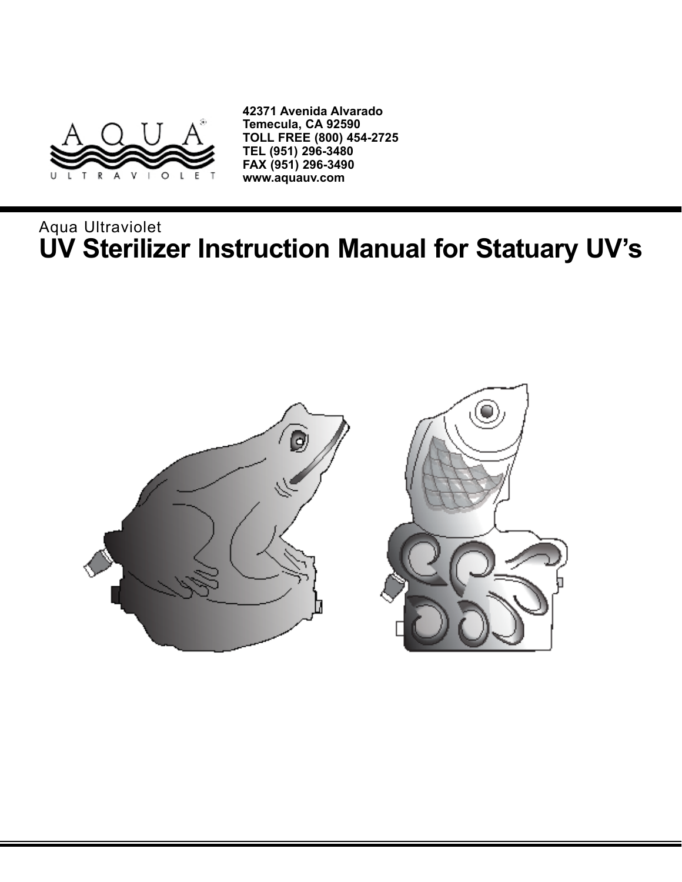

**42371 Avenida Alvarado Temecula, CA 92590 TOLL FREE (800) 454-2725 TEL (951) 296-3480 FAX (951) 296-3490 www.aquauv.com**

# Aqua Ultraviolet **UV Sterilizer Instruction Manual for Statuary UV's**

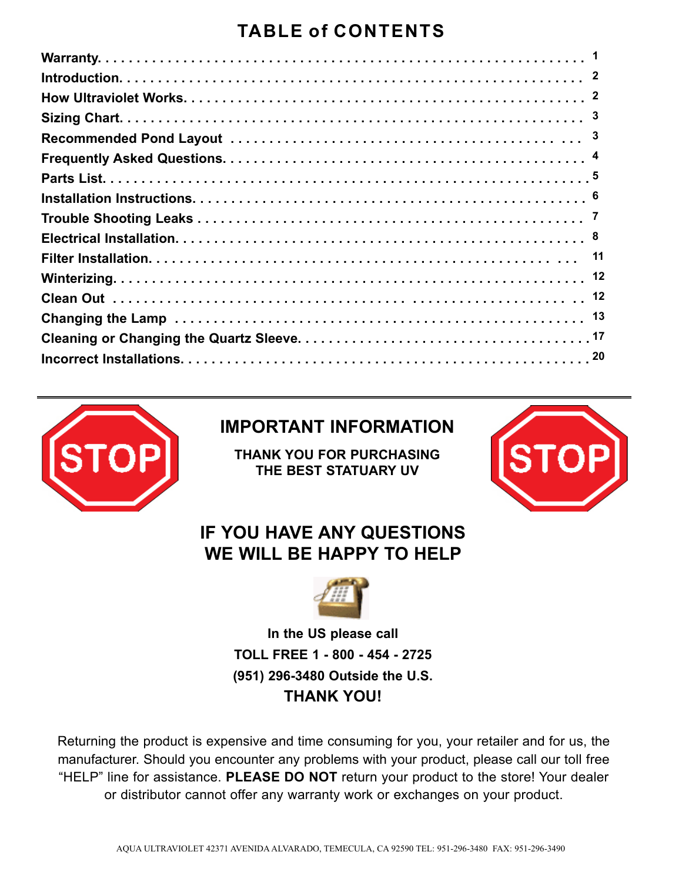## **TABLE of CONTENTS**



### **IMPORTANT INFORMATION**

**THANK YOU FOR PURCHASING THE BEST STATUARY UV**



### **IF YOU HAVE ANY QUESTIONS WE WILL BE HAPPY TO HELP**



**In the US please call TOLL FREE 1 - 800 - 454 - 2725 (951) 296-3480 Outside the U.S. THANK YOU!**

Returning the product is expensive and time consuming for you, your retailer and for us, the manufacturer. Should you encounter any problems with your product, please call our toll free "HELP" line for assistance. **PLEASE DO NOT** return your product to the store! Your dealer or distributor cannot offer any warranty work or exchanges on your product.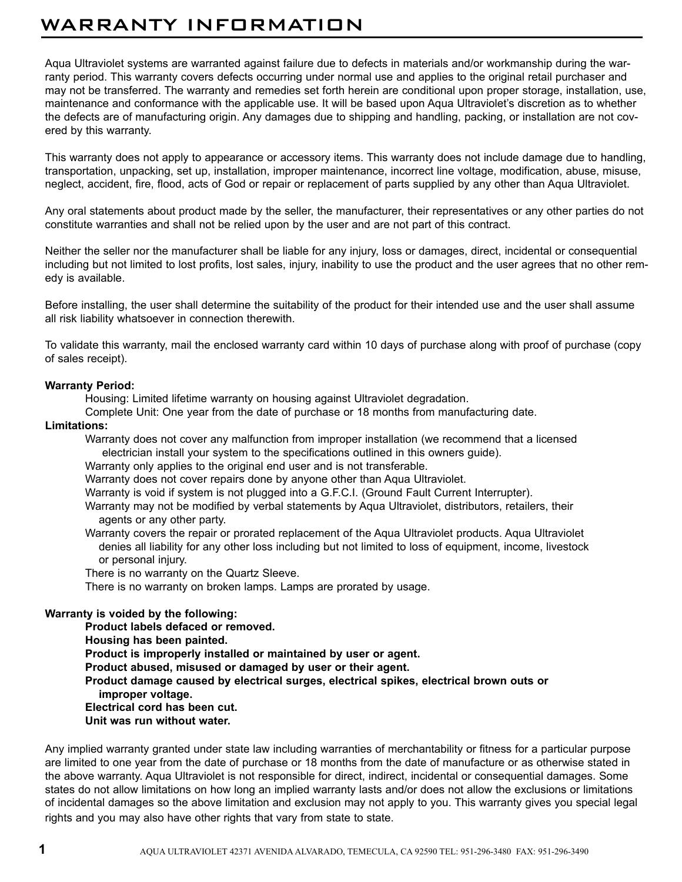### WARRANTY INFORMATION

Aqua Ultraviolet systems are warranted against failure due to defects in materials and/or workmanship during the warranty period. This warranty covers defects occurring under normal use and applies to the original retail purchaser and may not be transferred. The warranty and remedies set forth herein are conditional upon proper storage, installation, use, maintenance and conformance with the applicable use. It will be based upon Aqua Ultraviolet's discretion as to whether the defects are of manufacturing origin. Any damages due to shipping and handling, packing, or installation are not covered by this warranty.

This warranty does not apply to appearance or accessory items. This warranty does not include damage due to handling, transportation, unpacking, set up, installation, improper maintenance, incorrect line voltage, modification, abuse, misuse, neglect, accident, fire, flood, acts of God or repair or replacement of parts supplied by any other than Aqua Ultraviolet.

Any oral statements about product made by the seller, the manufacturer, their representatives or any other parties do not constitute warranties and shall not be relied upon by the user and are not part of this contract.

Neither the seller nor the manufacturer shall be liable for any injury, loss or damages, direct, incidental or consequential including but not limited to lost profits, lost sales, injury, inability to use the product and the user agrees that no other remedy is available.

Before installing, the user shall determine the suitability of the product for their intended use and the user shall assume all risk liability whatsoever in connection therewith.

To validate this warranty, mail the enclosed warranty card within 10 days of purchase along with proof of purchase (copy of sales receipt).

#### **Warranty Period:**

Housing: Limited lifetime warranty on housing against Ultraviolet degradation.

Complete Unit: One year from the date of purchase or 18 months from manufacturing date.

#### **Limitations:**

Warranty does not cover any malfunction from improper installation (we recommend that a licensed electrician install your system to the specifications outlined in this owners guide).

Warranty only applies to the original end user and is not transferable.

Warranty does not cover repairs done by anyone other than Aqua Ultraviolet.

Warranty is void if system is not plugged into a G.F.C.I. (Ground Fault Current Interrupter).

Warranty may not be modified by verbal statements by Aqua Ultraviolet, distributors, retailers, their agents or any other party.

Warranty covers the repair or prorated replacement of the Aqua Ultraviolet products. Aqua Ultraviolet denies all liability for any other loss including but not limited to loss of equipment, income, livestock or personal injury.

There is no warranty on the Quartz Sleeve.

There is no warranty on broken lamps. Lamps are prorated by usage.

#### **Warranty is voided by the following:**

**Product labels defaced or removed. Housing has been painted. Product is improperly installed or maintained by user or agent. Product abused, misused or damaged by user or their agent. Product damage caused by electrical surges, electrical spikes, electrical brown outs or improper voltage. Electrical cord has been cut. Unit was run without water.**

Any implied warranty granted under state law including warranties of merchantability or fitness for a particular purpose are limited to one year from the date of purchase or 18 months from the date of manufacture or as otherwise stated in the above warranty. Aqua Ultraviolet is not responsible for direct, indirect, incidental or consequential damages. Some states do not allow limitations on how long an implied warranty lasts and/or does not allow the exclusions or limitations of incidental damages so the above limitation and exclusion may not apply to you. This warranty gives you special legal rights and you may also have other rights that vary from state to state.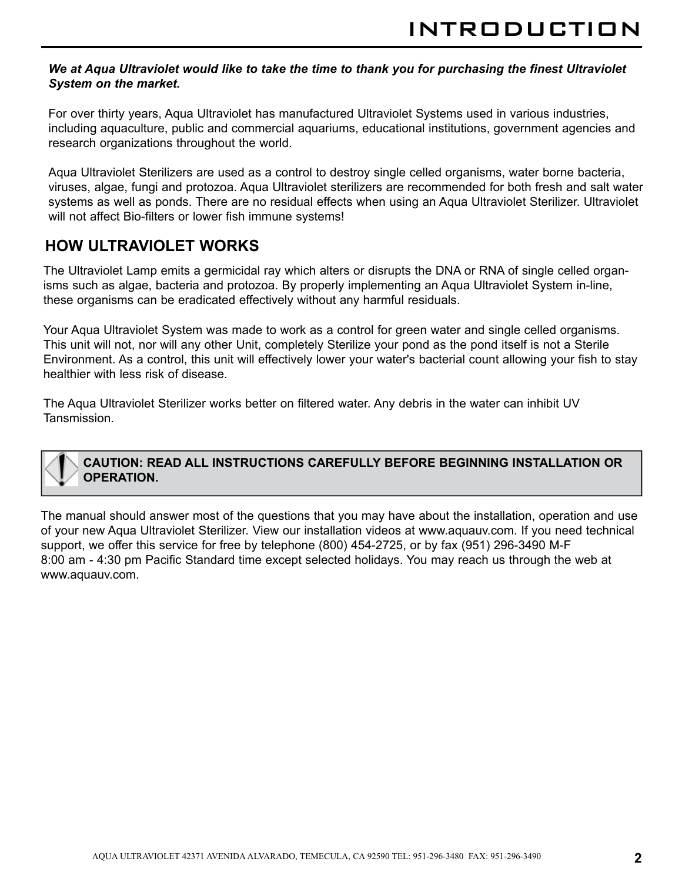#### *We at Aqua Ultraviolet would like to take the time to thank you for purchasing the finest Ultraviolet System on the market.*

For over thirty years, Aqua Ultraviolet has manufactured Ultraviolet Systems used in various industries, including aquaculture, public and commercial aquariums, educational institutions, government agencies and research organizations throughout the world.

Aqua Ultraviolet Sterilizers are used as a control to destroy single celled organisms, water borne bacteria, viruses, algae, fungi and protozoa. Aqua Ultraviolet sterilizers are recommended for both fresh and salt water systems as well as ponds. There are no residual effects when using an Aqua Ultraviolet Sterilizer. Ultraviolet will not affect Bio-filters or lower fish immune systems!

### **HOW ULTRAVIOLET WORKS**

The Ultraviolet Lamp emits a germicidal ray which alters or disrupts the DNA or RNA of single celled organisms such as algae, bacteria and protozoa. By properly implementing an Aqua Ultraviolet System in-line, these organisms can be eradicated effectively without any harmful residuals.

Your Aqua Ultraviolet System was made to work as a control for green water and single celled organisms. This unit will not, nor will any other Unit, completely Sterilize your pond as the pond itself is not a Sterile Environment. As a control, this unit will effectively lower your water's bacterial count allowing your fish to stay healthier with less risk of disease.

The Aqua Ultraviolet Sterilizer works better on filtered water. Any debris in the water can inhibit UV Tansmission.

#### **CAUTION: READ ALL INSTRUCTIONS CAREFULLY BEFORE BEGINNING INSTALLATION OR OPERATION.**

The manual should answer most of the questions that you may have about the installation, operation and use of your new Aqua Ultraviolet Sterilizer. View our installation videos at www.aquauv.com. If you need technical support, we offer this service for free by telephone (800) 454-2725, or by fax (951) 296-3490 M-F 8:00 am - 4:30 pm Pacific Standard time except selected holidays. You may reach us through the web at www.aquauv.com.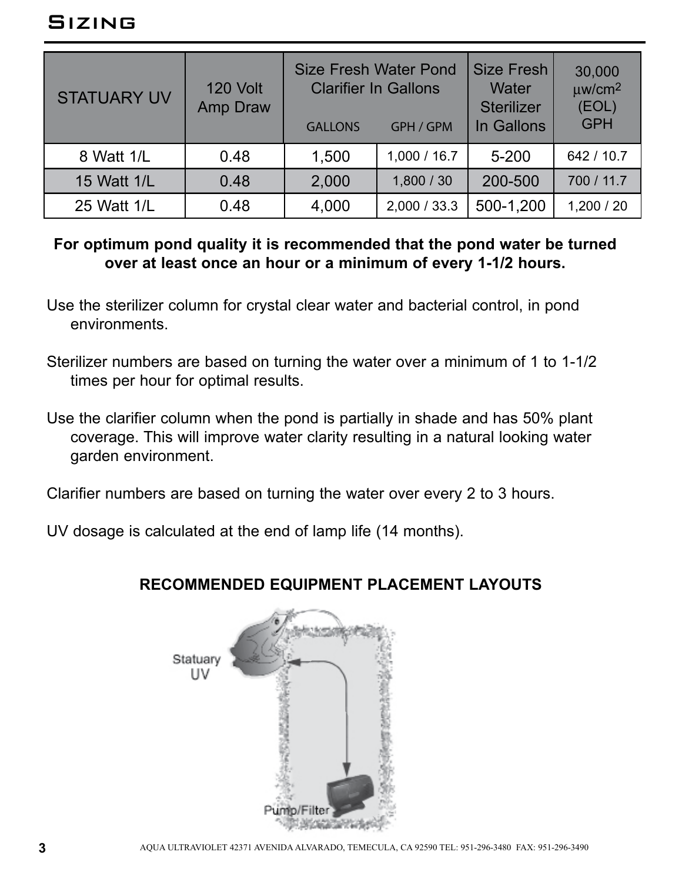| <b>STATUARY UV</b> | 120 Volt<br>Amp Draw | <b>Size Fresh Water Pond</b><br><b>Clarifier In Gallons</b><br><b>GALLONS</b> | GPH / GPM    | <b>Size Fresh</b><br>Water<br><b>Sterilizer</b><br>In Gallons | 30,000<br>$\mu$ w/cm <sup>2</sup><br>(EOL)<br><b>GPH</b> |
|--------------------|----------------------|-------------------------------------------------------------------------------|--------------|---------------------------------------------------------------|----------------------------------------------------------|
| 8 Watt 1/L         | 0.48                 | 1,500                                                                         | 1,000 / 16.7 | $5 - 200$                                                     | 642 / 10.7                                               |
| 15 Watt 1/L        | 0.48                 | 2,000                                                                         | 1,800/30     | 200-500                                                       | 700 / 11.7                                               |
| 25 Watt 1/L        | 0.48                 | 4,000                                                                         | 2,000 / 33.3 | 500-1,200                                                     | 1,200 / 20                                               |

#### **For optimum pond quality it is recommended that the pond water be turned over at least once an hour or a minimum of every 1-1/2 hours.**

- Use the sterilizer column for crystal clear water and bacterial control, in pond environments.
- Sterilizer numbers are based on turning the water over a minimum of 1 to 1-1/2 times per hour for optimal results.
- Use the clarifier column when the pond is partially in shade and has 50% plant coverage. This will improve water clarity resulting in a natural looking water garden environment.

Clarifier numbers are based on turning the water over every 2 to 3 hours.

UV dosage is calculated at the end of lamp life (14 months).

### **RECOMMENDED EQUIPMENT PLACEMENT LAYOUTS**

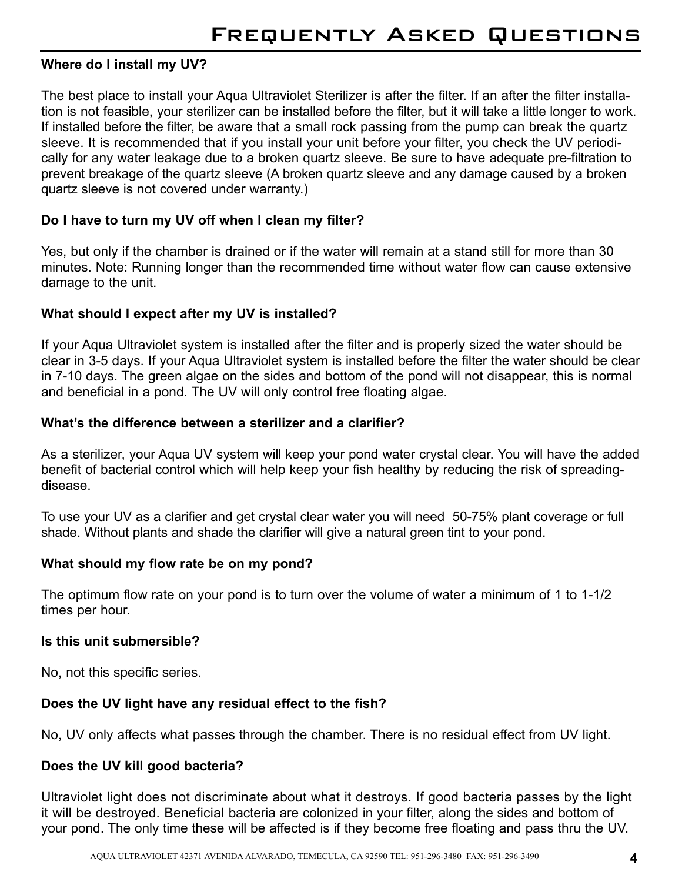#### **Where do I install my UV?**

The best place to install your Aqua Ultraviolet Sterilizer is after the filter. If an after the filter installation is not feasible, your sterilizer can be installed before the filter, but it will take a little longer to work. If installed before the filter, be aware that a small rock passing from the pump can break the quartz sleeve. It is recommended that if you install your unit before your filter, you check the UV periodically for any water leakage due to a broken quartz sleeve. Be sure to have adequate pre-filtration to prevent breakage of the quartz sleeve (A broken quartz sleeve and any damage caused by a broken quartz sleeve is not covered under warranty.)

#### **Do I have to turn my UV off when I clean my filter?**

Yes, but only if the chamber is drained or if the water will remain at a stand still for more than 30 minutes. Note: Running longer than the recommended time without water flow can cause extensive damage to the unit.

#### **What should I expect after my UV is installed?**

If your Aqua Ultraviolet system is installed after the filter and is properly sized the water should be clear in 3-5 days. If your Aqua Ultraviolet system is installed before the filter the water should be clear in 7-10 days. The green algae on the sides and bottom of the pond will not disappear, this is normal and beneficial in a pond. The UV will only control free floating algae.

#### **What's the difference between a sterilizer and a clarifier?**

As a sterilizer, your Aqua UV system will keep your pond water crystal clear. You will have the added benefit of bacterial control which will help keep your fish healthy by reducing the risk of spreadingdisease.

To use your UV as a clarifier and get crystal clear water you will need 50-75% plant coverage or full shade. Without plants and shade the clarifier will give a natural green tint to your pond.

#### **What should my flow rate be on my pond?**

The optimum flow rate on your pond is to turn over the volume of water a minimum of 1 to 1-1/2 times per hour.

#### **Is this unit submersible?**

No, not this specific series.

#### **Does the UV light have any residual effect to the fish?**

No, UV only affects what passes through the chamber. There is no residual effect from UV light.

#### **Does the UV kill good bacteria?**

Ultraviolet light does not discriminate about what it destroys. If good bacteria passes by the light it will be destroyed. Beneficial bacteria are colonized in your filter, along the sides and bottom of your pond. The only time these will be affected is if they become free floating and pass thru the UV.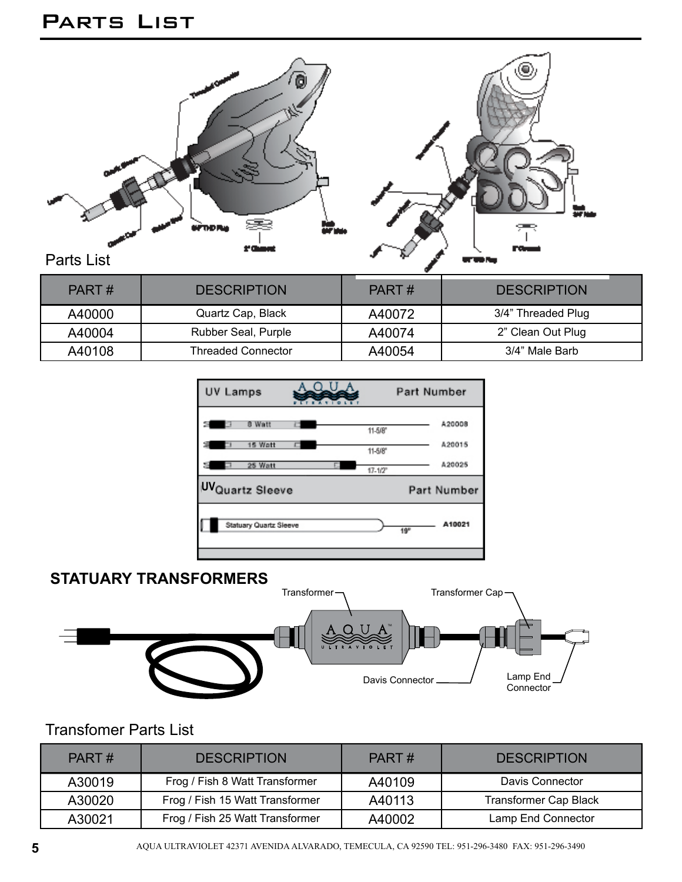## Parts List



| PART#  | <b>DESCRIPTION</b>  | PART#  | <b>DESCRIPTION</b> |
|--------|---------------------|--------|--------------------|
| A40000 | Quartz Cap, Black   | A40072 | 3/4" Threaded Plug |
| A40004 | Rubber Seal, Purple | A40074 | 2" Clean Out Plug  |
| A40108 | Threaded Connector  | A40054 | 3/4" Male Barb     |

| UV Lamps                |                         | Part Number               |
|-------------------------|-------------------------|---------------------------|
| 8 Watt<br>s             | 11-5/8"                 | A20008                    |
| 15 Watt<br>Ξ            | 11-5/8"                 | A20015                    |
| 25 Watt                 | $17 - 1/2$ <sup>*</sup> | A20025                    |
| <b>UV</b> Quartz Sleeve |                         | Part Number               |
| Statuary Quartz Sleeve  |                         | A10021<br>19 <sup>n</sup> |

### **STATUARY TRANSFORMERS**



### Transfomer Parts List

| PART#  | <b>DESCRIPTION</b>              |        | <b>DESCRIPTION</b>           |
|--------|---------------------------------|--------|------------------------------|
| A30019 | Frog / Fish 8 Watt Transformer  | A40109 | Davis Connector              |
| A30020 | Frog / Fish 15 Watt Transformer | A40113 | <b>Transformer Cap Black</b> |
| A30021 | Frog / Fish 25 Watt Transformer | A40002 | Lamp End Connector           |

**5** AQUA ULTRAVIOLET 42371 AVENIDA ALVARADO, TEMECULA, CA 92590 TEL: 951-296-3480 FAX: 951-296-3490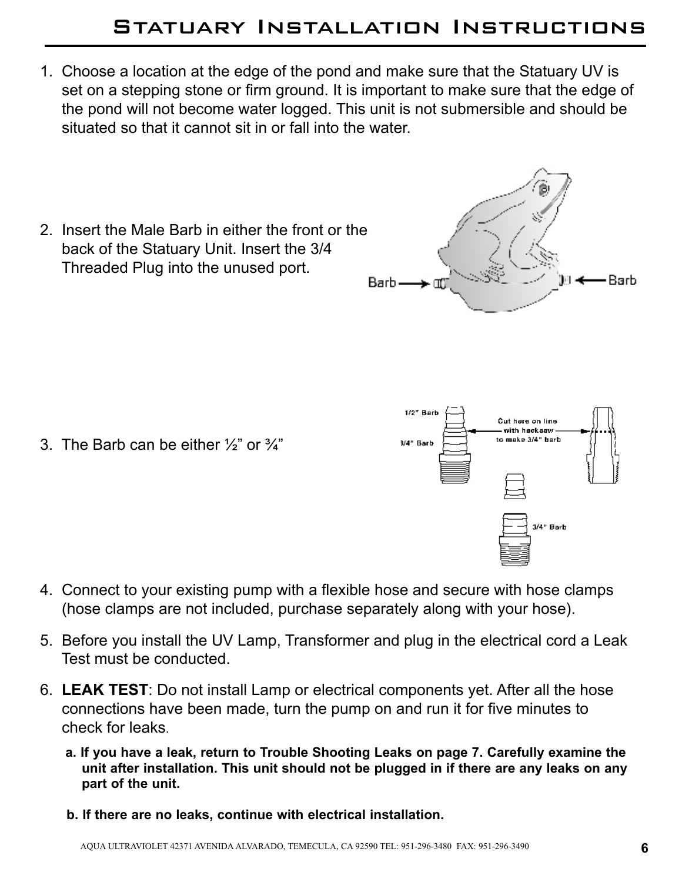## Statuary Installation Instructions

- 1. Choose a location at the edge of the pond and make sure that the Statuary UV is set on a stepping stone or firm ground. It is important to make sure that the edge of the pond will not become water logged. This unit is not submersible and should be situated so that it cannot sit in or fall into the water.
- 2. Insert the Male Barb in either the front or the back of the Statuary Unit. Insert the 3/4 Threaded Plug into the unused port. Barb-

3. The Barb can be either  $\frac{1}{2}$  or  $\frac{3}{4}$ "

Cut here on line with hackaawto make 3/4" barb 3/4" Barb 3/4" Barb

1/2" Barb

- 4. Connect to your existing pump with a flexible hose and secure with hose clamps (hose clamps are not included, purchase separately along with your hose).
- 5. Before you install the UV Lamp, Transformer and plug in the electrical cord a Leak Test must be conducted.
- 6. **LEAK TEST**: Do not install Lamp or electrical components yet. After all the hose connections have been made, turn the pump on and run it for five minutes to check for leaks.
	- **a. If you have a leak, return to Trouble Shooting Leaks on page 7. Carefully examine the unit after installation. This unit should not be plugged in if there are any leaks on any part of the unit.**
	- **b. If there are no leaks, continue with electrical installation.**

-Barb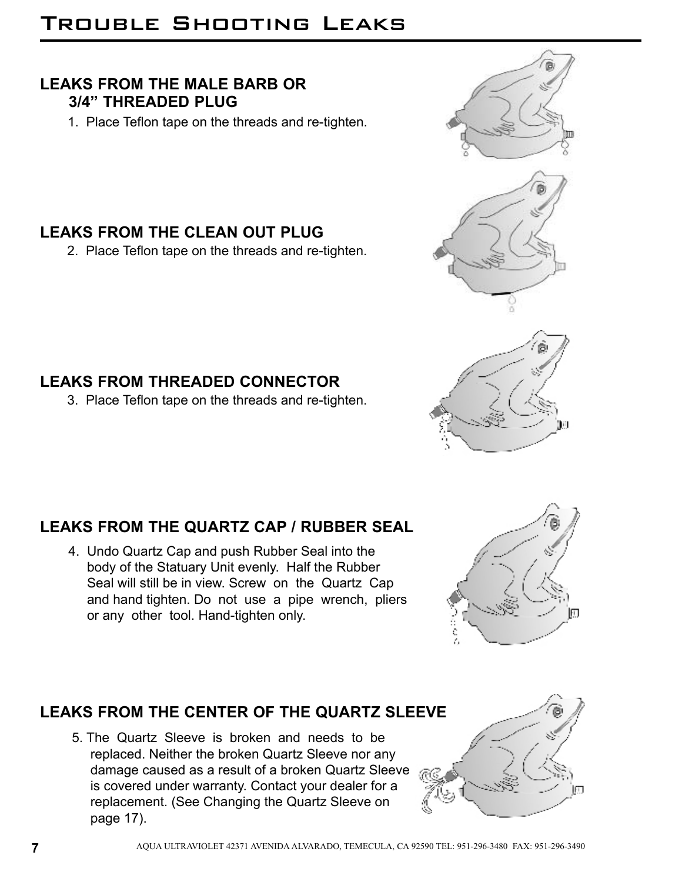# Trouble Shooting Leaks

### **LEAKS FROM THE MALE BARB OR 3/4" THREADED PLUG**

1. Place Teflon tape on the threads and re-tighten.

### **LEAKS FROM THE CLEAN OUT PLUG**

2. Place Teflon tape on the threads and re-tighten.

### **LEAKS FROM THREADED CONNECTOR**

3. Place Teflon tape on the threads and re-tighten.

### **LEAKS FROM THE QUARTZ CAP / RUBBER SEAL**

4. Undo Quartz Cap and push Rubber Seal into the body of the Statuary Unit evenly. Half the Rubber Seal will still be in view. Screw on the Quartz Cap and hand tighten. Do not use a pipe wrench, pliers or any other tool. Hand-tighten only.

## **LEAKS FROM THE CENTER OF THE QUARTZ SLEEVE**

5. The Quartz Sleeve is broken and needs to be replaced. Neither the broken Quartz Sleeve nor any damage caused as a result of a broken Quartz Sleeve is covered under warranty. Contact your dealer for a replacement. (See Changing the Quartz Sleeve on page 17).







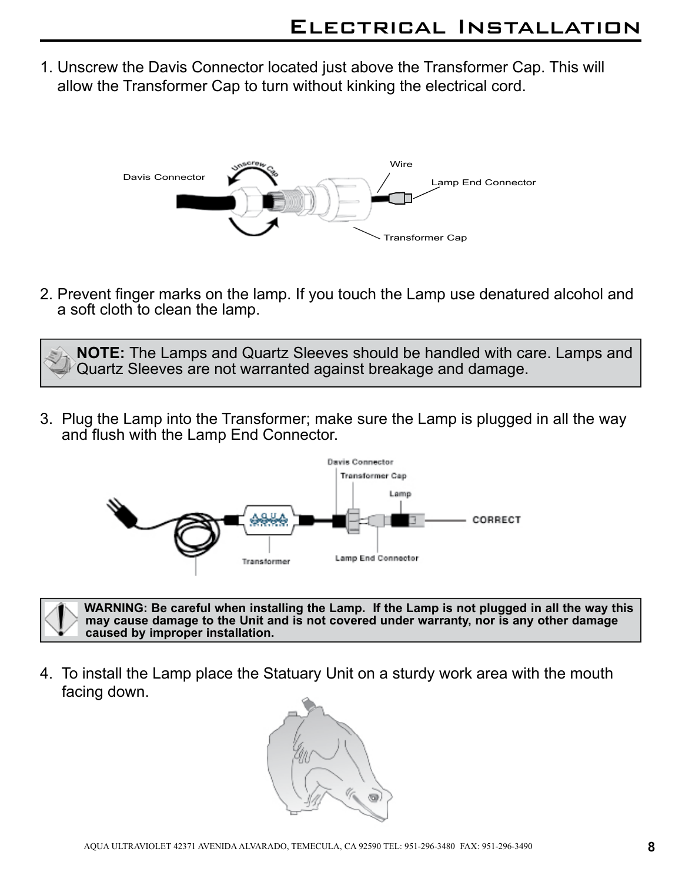1. Unscrew the Davis Connector located just above the Transformer Cap. This will allow the Transformer Cap to turn without kinking the electrical cord.



2. Prevent finger marks on the lamp. If you touch the Lamp use denatured alcohol and a soft cloth to clean the lamp.

**NOTE:** The Lamps and Quartz Sleeves should be handled with care. Lamps and Quartz Sleeves are not warranted against breakage and damage.

3. Plug the Lamp into the Transformer; make sure the Lamp is plugged in all the way and flush with the Lamp End Connector.





4. To install the Lamp place the Statuary Unit on a sturdy work area with the mouth facing down.

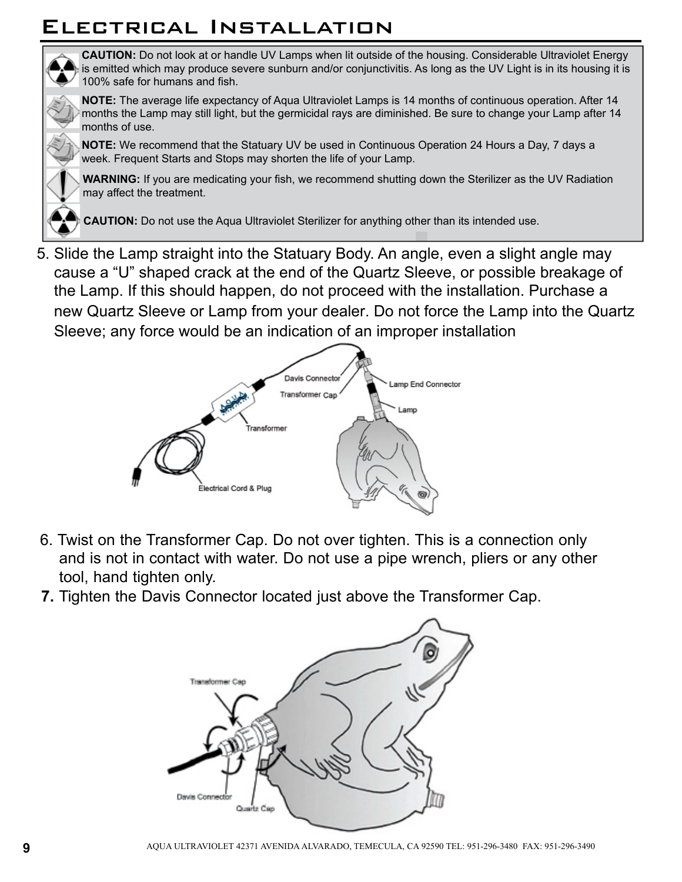## Electrical Installation



**CAUTION:** Do not look at or handle UV Lamps when lit outside of the housing. Considerable Ultraviolet Energy is emitted which may produce severe sunburn and/or conjunctivitis. As long as the UV Light is in its housing it is 100% safe for humans and fish.

**NOTE:** The average life expectancy of Aqua Ultraviolet Lamps is 14 months of continuous operation. After 14 months the Lamp may still light, but the germicidal rays are diminished. Be sure to change your Lamp after 14 months of use.

**NOTE:** We recommend that the Statuary UV be used in Continuous Operation 24 Hours a Day, 7 days a week. Frequent Starts and Stops may shorten the life of your Lamp.

**WARNING:** If you are medicating your fish, we recommend shutting down the Sterilizer as the UV Radiation may affect the treatment.

**CAUTION:** Do not use the Aqua Ultraviolet Sterilizer for anything other than its intended use.

5. Slide the Lamp straight into the Statuary Body. An angle, even a slight angle may cause a "U" shaped crack at the end of the Quartz Sleeve, or possible breakage of the Lamp. If this should happen, do not proceed with the installation. Purchase a new Quartz Sleeve or Lamp from your dealer. Do not force the Lamp into the Quartz Sleeve; any force would be an indication of an improper installation



- 6. Twist on the Transformer Cap. Do not over tighten. This is a connection only and is not in contact with water. Do not use a pipe wrench, pliers or any other tool, hand tighten only.
- **7.** Tighten the Davis Connector located just above the Transformer Cap.

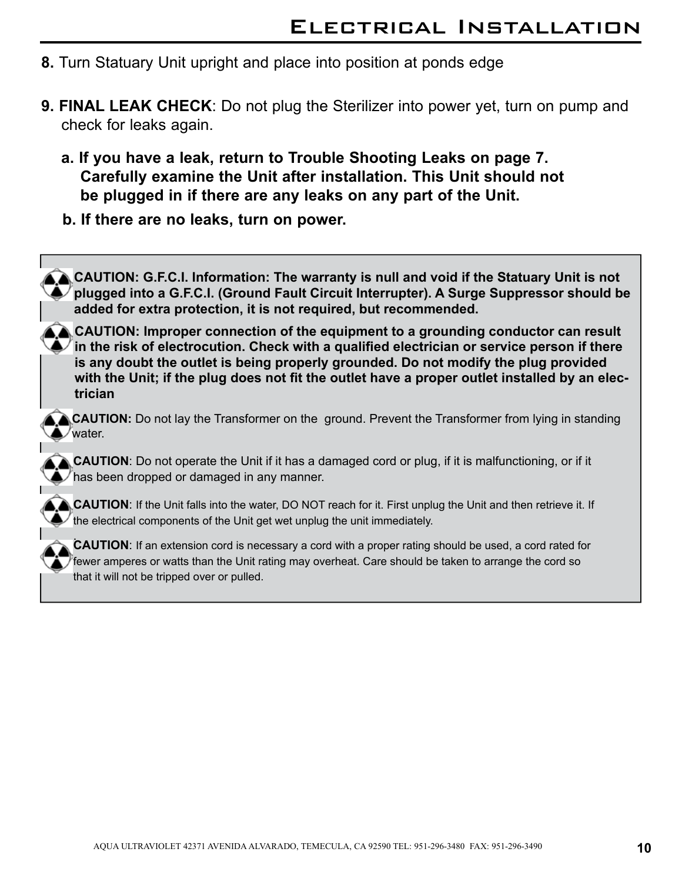- **8.** Turn Statuary Unit upright and place into position at ponds edge
- **9. FINAL LEAK CHECK**: Do not plug the Sterilizer into power yet, turn on pump and check for leaks again.
	- **a. If you have a leak, return to Trouble Shooting Leaks on page 7. Carefully examine the Unit after installation. This Unit should not be plugged in if there are any leaks on any part of the Unit.**
	- **b. If there are no leaks, turn on power.**

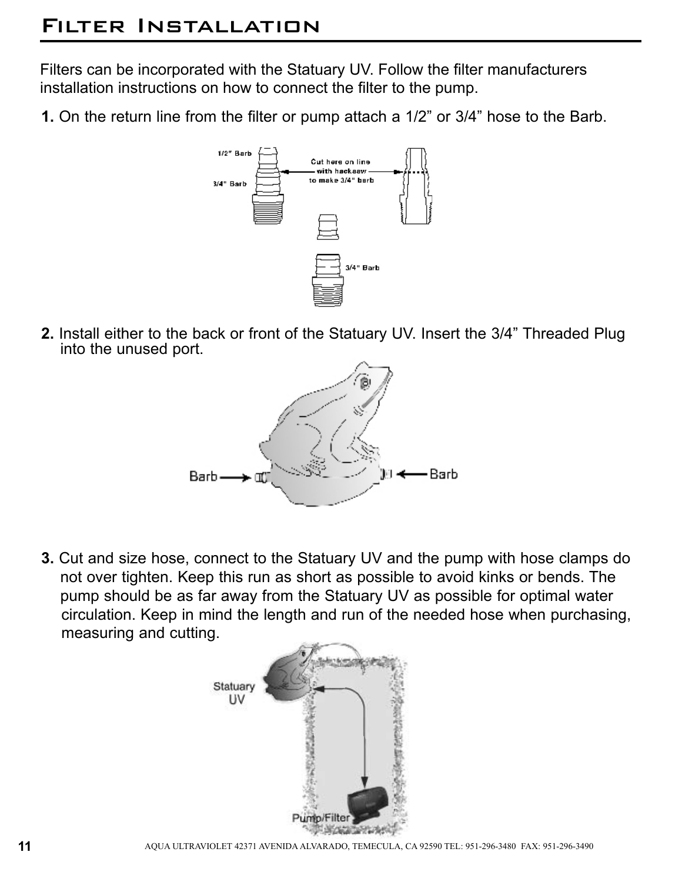## Filter Installation

Filters can be incorporated with the Statuary UV. Follow the filter manufacturers installation instructions on how to connect the filter to the pump.

**1.** On the return line from the filter or pump attach a 1/2" or 3/4" hose to the Barb.



**2.** Install either to the back or front of the Statuary UV. Insert the 3/4" Threaded Plug into the unused port.



**3.** Cut and size hose, connect to the Statuary UV and the pump with hose clamps do not over tighten. Keep this run as short as possible to avoid kinks or bends. The pump should be as far away from the Statuary UV as possible for optimal water circulation. Keep in mind the length and run of the needed hose when purchasing, measuring and cutting.

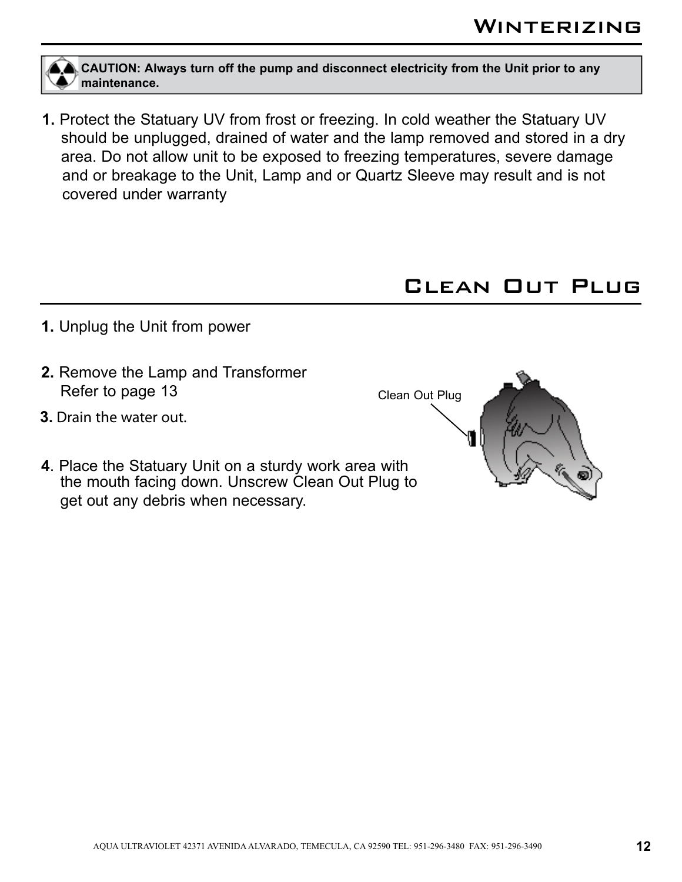**CAUTION: Always turn off the pump and disconnect electricity from the Unit prior to any maintenance.**

**1.** Protect the Statuary UV from frost or freezing. In cold weather the Statuary UV should be unplugged, drained of water and the lamp removed and stored in a dry area. Do not allow unit to be exposed to freezing temperatures, severe damage and or breakage to the Unit, Lamp and or Quartz Sleeve may result and is not covered under warranty

## Clean Out Plug

- **1.** Unplug the Unit from power
- **2.** Remove the Lamp and Transformer Refer to page 13
- **3.** Drain the water out.
- **4**. Place the Statuary Unit on a sturdy work area with the mouth facing down. Unscrew Clean Out Plug to get out any debris when necessary.



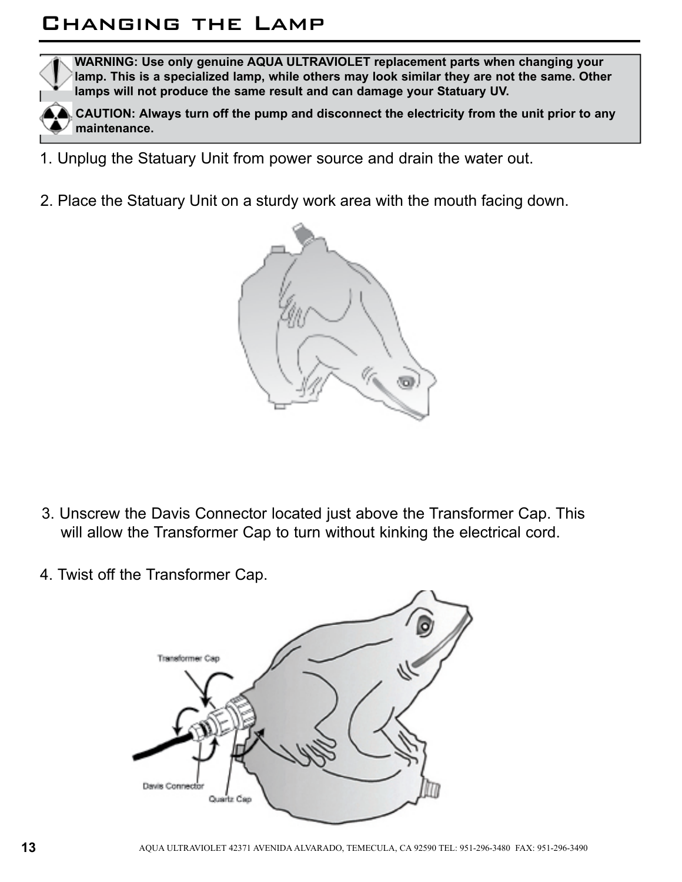## Changing the Lamp



**WARNING: Use only genuine AQUA ULTRAVIOLET replacement parts when changing your lamp. This is a specialized lamp, while others may look similar they are not the same. Other lamps will not produce the same result and can damage your Statuary UV.**

**CAUTION: Always turn off the pump and disconnect the electricity from the unit prior to any maintenance.**

- 1. Unplug the Statuary Unit from power source and drain the water out.
- 2. Place the Statuary Unit on a sturdy work area with the mouth facing down.



- 3. Unscrew the Davis Connector located just above the Transformer Cap. This will allow the Transformer Cap to turn without kinking the electrical cord.
- 4. Twist off the Transformer Cap.

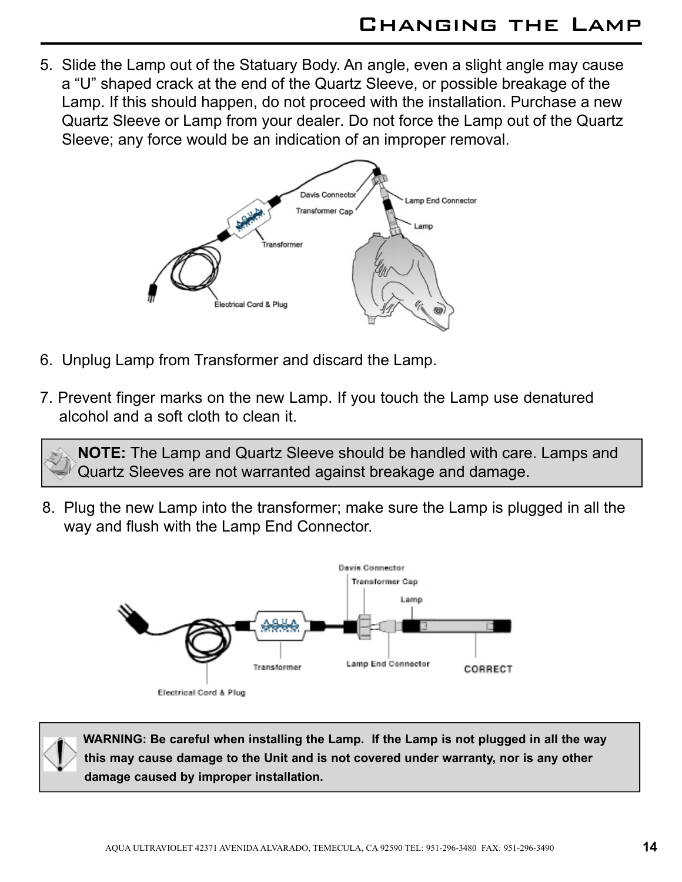5. Slide the Lamp out of the Statuary Body. An angle, even a slight angle may cause a "U" shaped crack at the end of the Quartz Sleeve, or possible breakage of the Lamp. If this should happen, do not proceed with the installation. Purchase a new Quartz Sleeve or Lamp from your dealer. Do not force the Lamp out of the Quartz Sleeve; any force would be an indication of an improper removal.



- 6. Unplug Lamp from Transformer and discard the Lamp.
- 7. Prevent finger marks on the new Lamp. If you touch the Lamp use denatured alcohol and a soft cloth to clean it.

**NOTE:** The Lamp and Quartz Sleeve should be handled with care. Lamps and Quartz Sleeves are not warranted against breakage and damage.

8. Plug the new Lamp into the transformer; make sure the Lamp is plugged in all the way and flush with the Lamp End Connector.



**WARNING: Be careful when installing the Lamp. If the Lamp is not plugged in all the way this may cause damage to the Unit and is not covered under warranty, nor is any other damage caused by improper installation.**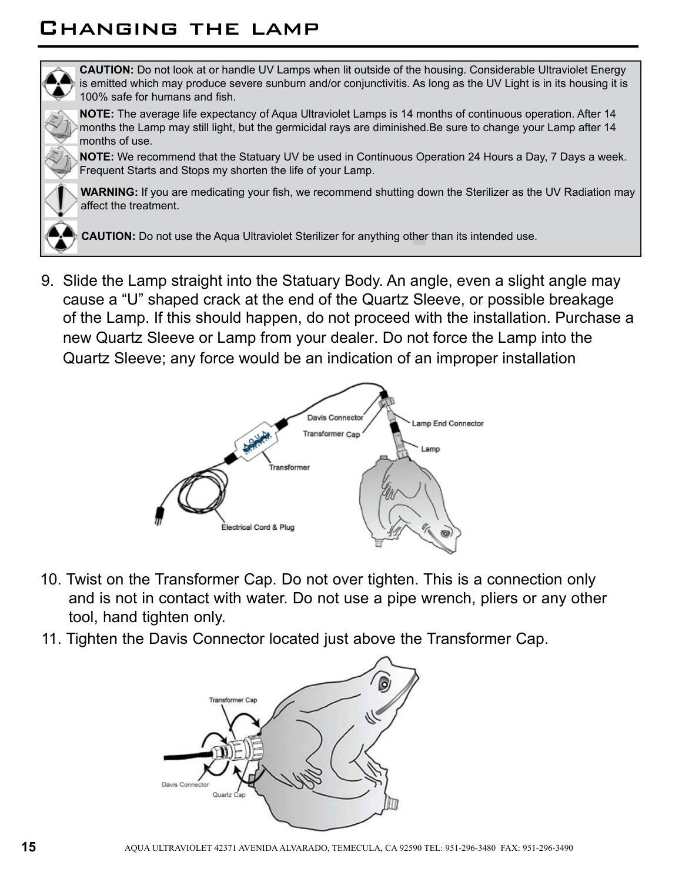## Changing the lamp

![](_page_17_Picture_1.jpeg)

**CAUTION:** Do not look at or handle UV Lamps when lit outside of the housing. Considerable Ultraviolet Energy is emitted which may produce severe sunburn and/or conjunctivitis. As long as the UV Light is in its housing it is 100% safe for humans and fish.

**NOTE:** The average life expectancy of Aqua Ultraviolet Lamps is 14 months of continuous operation. After 14 months the Lamp may still light, but the germicidal rays are diminished.Be sure to change your Lamp after 14 months of use.

**NOTE:** We recommend that the Statuary UV be used in Continuous Operation 24 Hours a Day, 7 Days a week. Frequent Starts and Stops my shorten the life of your Lamp.

**WARNING:** If you are medicating your fish, we recommend shutting down the Sterilizer as the UV Radiation may affect the treatment.

**CAUTION:** Do not use the Aqua Ultraviolet Sterilizer for anything other than its intended use.

9. Slide the Lamp straight into the Statuary Body. An angle, even a slight angle may cause a "U" shaped crack at the end of the Quartz Sleeve, or possible breakage of the Lamp. If this should happen, do not proceed with the installation. Purchase a new Quartz Sleeve or Lamp from your dealer. Do not force the Lamp into the Quartz Sleeve; any force would be an indication of an improper installation

![](_page_17_Figure_8.jpeg)

- 10. Twist on the Transformer Cap. Do not over tighten. This is a connection only and is not in contact with water. Do not use a pipe wrench, pliers or any other tool, hand tighten only.
- 11. Tighten the Davis Connector located just above the Transformer Cap.

![](_page_17_Figure_11.jpeg)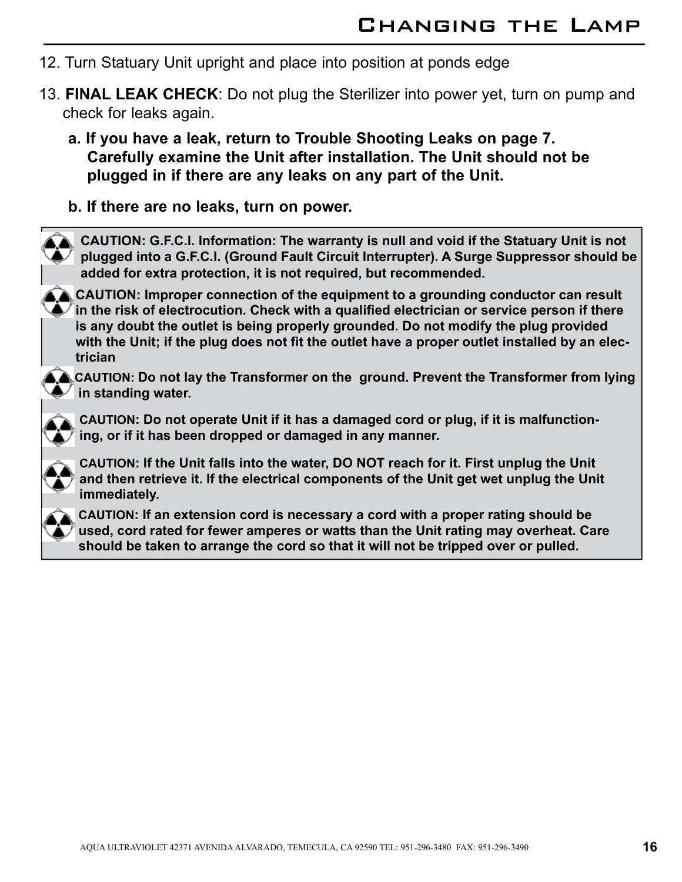- 12. Turn Statuary Unit upright and place into position at ponds edge
- 13. **FINAL LEAK CHECK**: Do not plug the Sterilizer into power yet, turn on pump and check for leaks again.
	- **a. If you have a leak, return to Trouble Shooting Leaks on page 7. Carefully examine the Unit after installation. The Unit should not be plugged in if there are any leaks on any part of the Unit.**
	- **b. If there are no leaks, turn on power.**

![](_page_18_Picture_5.jpeg)

**CAUTION: G.F.C.I. Information: The warranty is null and void if the Statuary Unit is not plugged into a G.F.C.I. (Ground Fault Circuit Interrupter). A Surge Suppressor should be added for extra protection, it is not required, but recommended.**

**CAUTION: Improper connection of the equipment to a grounding conductor can result**   $\blacklozenge$  in the risk of electrocution. Check with a qualified electrician or service person if there **is any doubt the outlet is being properly grounded. Do not modify the plug provided with the Unit; if the plug does not fit the outlet have a proper outlet installed by an electrician**

![](_page_18_Picture_8.jpeg)

**CAUTION: Do not lay the Transformer on the ground. Prevent the Transformer from lying in standing water.** 

**CAUTION: Do not operate Unit if it has a damaged cord or plug, if it is malfunctioning, or if it has been dropped or damaged in any manner.**

![](_page_18_Picture_12.jpeg)

**CAUTION: If the Unit falls into the water, DO NOT reach for it. First unplug the Unit and then retrieve it. If the electrical components of the Unit get wet unplug the Unit immediately.**

![](_page_18_Picture_14.jpeg)

**CAUTION: If an extension cord is necessary a cord with a proper rating should be used, cord rated for fewer amperes or watts than the Unit rating may overheat. Care should be taken to arrange the cord so that it will not be tripped over or pulled.**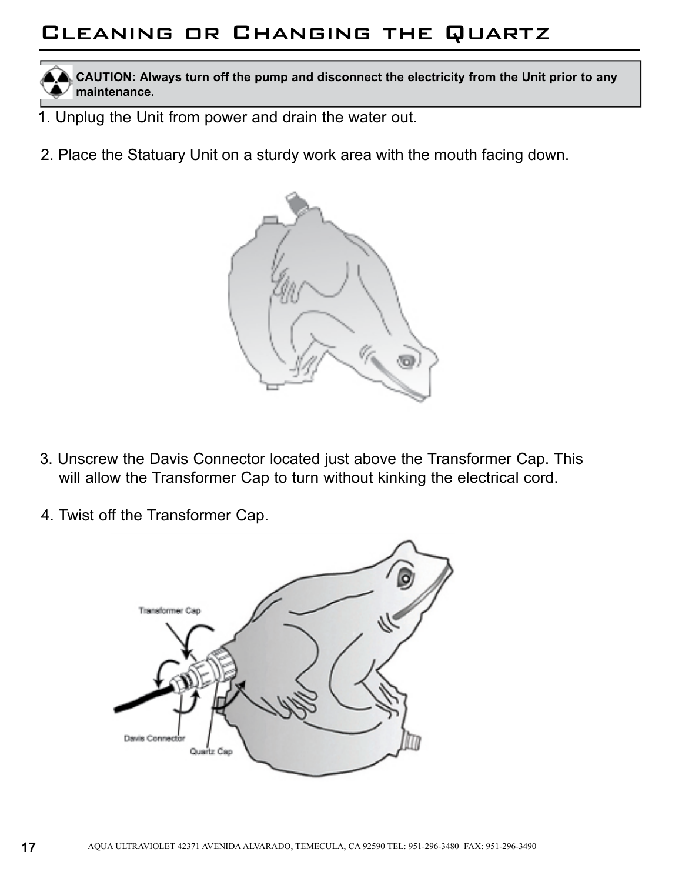# Cleaning or Changing the Quartz

**CAUTION: Always turn off the pump and disconnect the electricity from the Unit prior to any maintenance.**

- 1. Unplug the Unit from power and drain the water out.
- 2. Place the Statuary Unit on a sturdy work area with the mouth facing down.

![](_page_19_Picture_4.jpeg)

- 3. Unscrew the Davis Connector located just above the Transformer Cap. This will allow the Transformer Cap to turn without kinking the electrical cord.
- 4. Twist off the Transformer Cap.

![](_page_19_Picture_7.jpeg)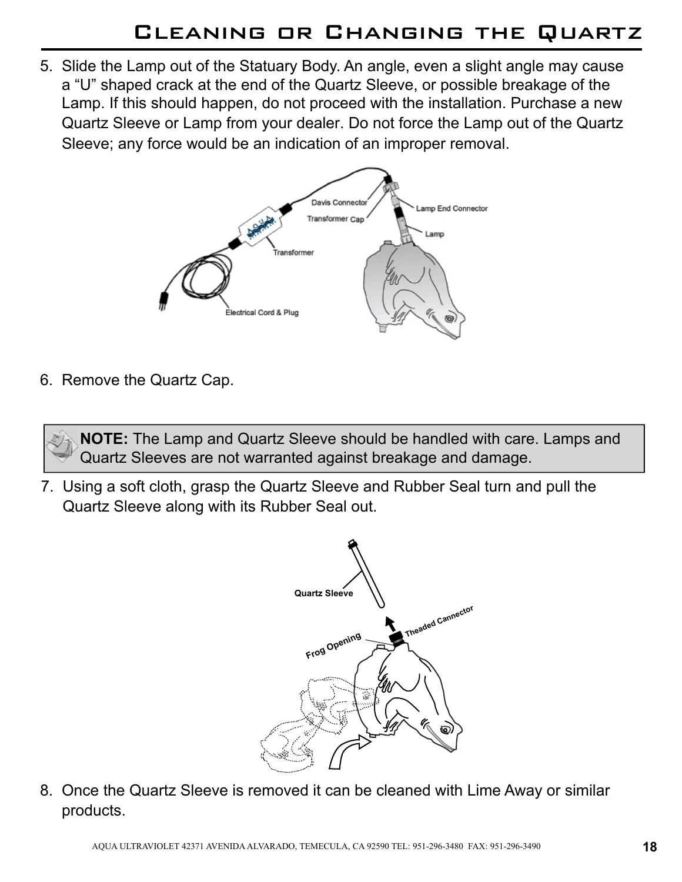5. Slide the Lamp out of the Statuary Body. An angle, even a slight angle may cause a "U" shaped crack at the end of the Quartz Sleeve, or possible breakage of the Lamp. If this should happen, do not proceed with the installation. Purchase a new Quartz Sleeve or Lamp from your dealer. Do not force the Lamp out of the Quartz Sleeve; any force would be an indication of an improper removal.

![](_page_20_Figure_2.jpeg)

6. Remove the Quartz Cap.

**NOTE:** The Lamp and Quartz Sleeve should be handled with care. Lamps and Quartz Sleeves are not warranted against breakage and damage.

7. Using a soft cloth, grasp the Quartz Sleeve and Rubber Seal turn and pull the Quartz Sleeve along with its Rubber Seal out.

![](_page_20_Figure_6.jpeg)

8. Once the Quartz Sleeve is removed it can be cleaned with Lime Away or similar products.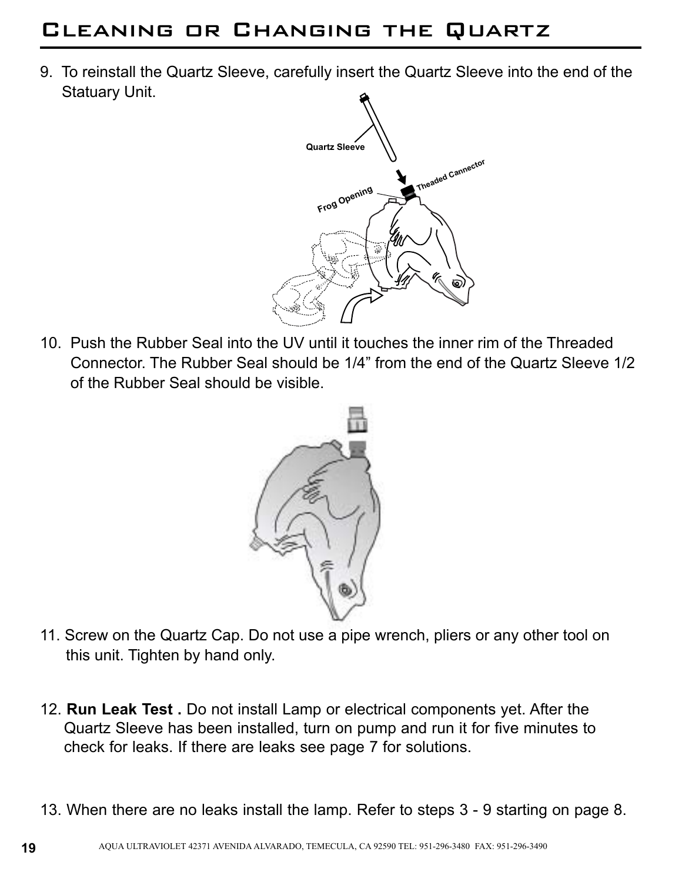# Cleaning or Changing the Quartz

9. To reinstall the Quartz Sleeve, carefully insert the Quartz Sleeve into the end of the Statuary Unit.

![](_page_21_Figure_2.jpeg)

10. Push the Rubber Seal into the UV until it touches the inner rim of the Threaded Connector. The Rubber Seal should be 1/4" from the end of the Quartz Sleeve 1/2 of the Rubber Seal should be visible.

![](_page_21_Picture_4.jpeg)

- 11. Screw on the Quartz Cap. Do not use a pipe wrench, pliers or any other tool on this unit. Tighten by hand only.
- 12. **Run Leak Test .** Do not install Lamp or electrical components yet. After the Quartz Sleeve has been installed, turn on pump and run it for five minutes to check for leaks. If there are leaks see page 7 for solutions.
- 13. When there are no leaks install the lamp. Refer to steps 3 9 starting on page 8.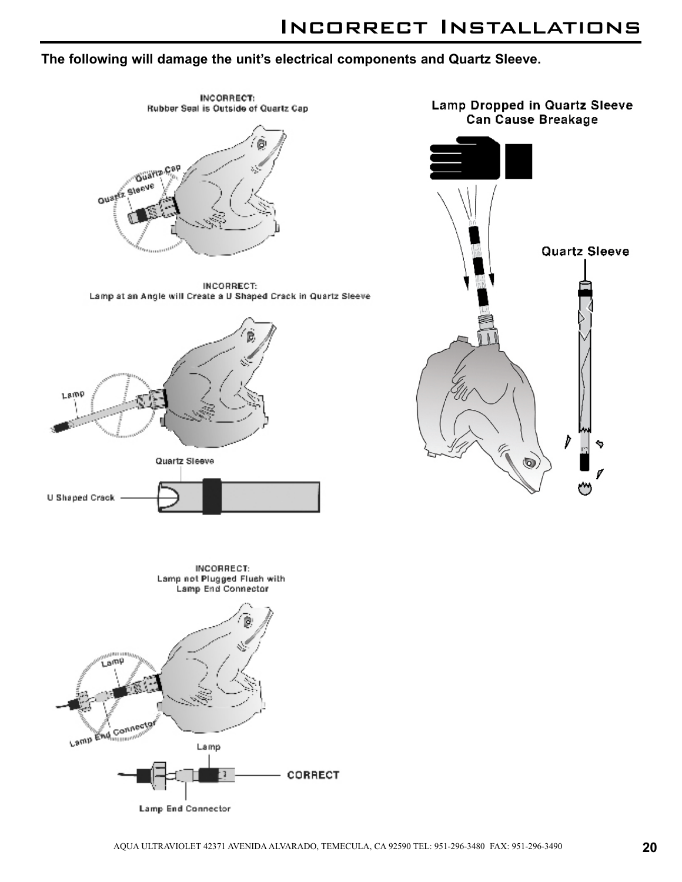### Incorrect Installations

#### **The following will damage the unit's electrical components and Quartz Sleeve.**

![](_page_22_Figure_2.jpeg)

**Lamp End Connector**